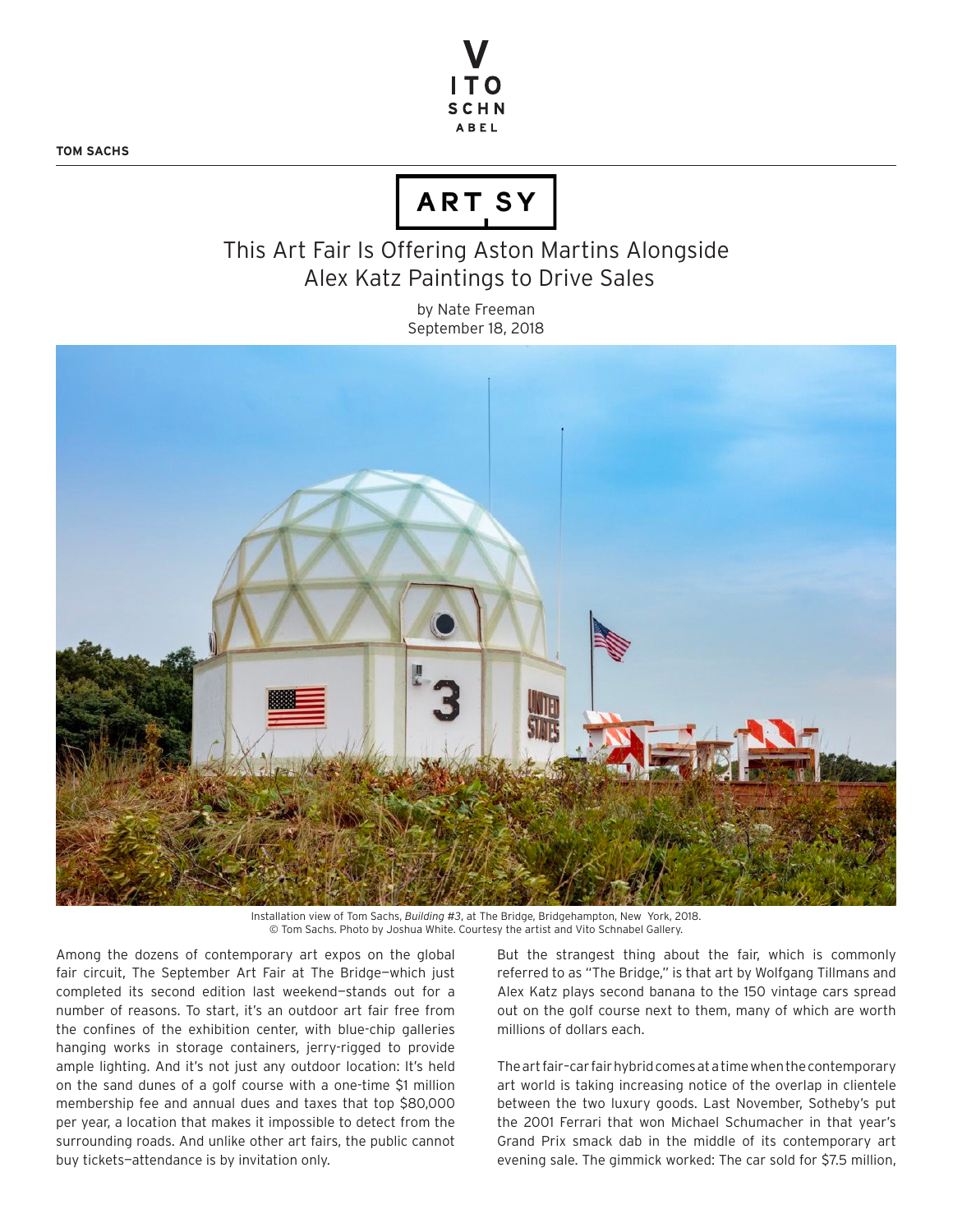**TOM SACHS**



## ARTSY

## This Art Fair Is Offering Aston Martins Alongside Alex Katz Paintings to Drive Sales

by Nate Freeman September 18, 2018



Installation view of Tom Sachs, *Building #3*, at The Bridge, Bridgehampton, New York, 2018. © Tom Sachs. Photo by Joshua White. Courtesy the artist and Vito Schnabel Gallery.

Among the dozens of contemporary art expos on the global fair circuit, The September Art Fair at The Bridge—which just completed its second edition last weekend—stands out for a number of reasons. To start, it's an outdoor art fair free from the confines of the exhibition center, with blue-chip galleries hanging works in storage containers, jerry-rigged to provide ample lighting. And it's not just any outdoor location: It's held on the sand dunes of a golf course with a one-time \$1 million membership fee and annual dues and taxes that top \$80,000 per year, a location that makes it impossible to detect from the surrounding roads. And unlike other art fairs, the public cannot buy tickets—attendance is by invitation only.

But the strangest thing about the fair, which is commonly referred to as "The Bridge," is that art by Wolfgang Tillmans and Alex Katz plays second banana to the 150 vintage cars spread out on the golf course next to them, many of which are worth millions of dollars each.

The art fair–car fair hybrid comes at a time when the contemporary art world is taking increasing notice of the overlap in clientele between the two luxury goods. Last November, Sotheby's put the 2001 Ferrari that won Michael Schumacher in that year's Grand Prix smack dab in the middle of its contemporary art evening sale. The gimmick worked: The car sold for \$7.5 million,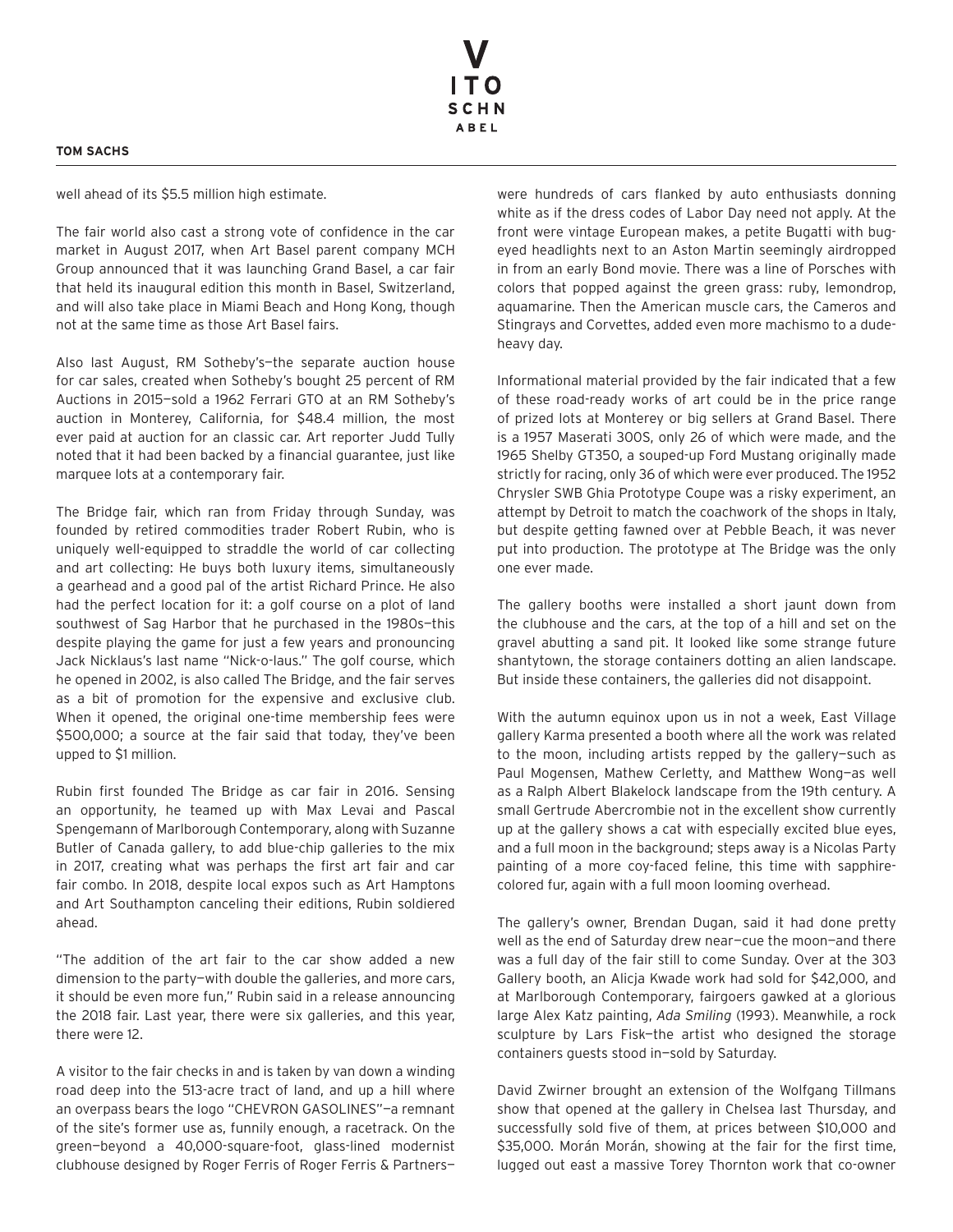## **TOM SACHS**

well ahead of its \$5.5 million high estimate.

The fair world also cast a strong vote of confidence in the car market in August 2017, when Art Basel parent company MCH Group announced that it was launching Grand Basel, a car fair that held its inaugural edition this month in Basel, Switzerland, and will also take place in Miami Beach and Hong Kong, though not at the same time as those Art Basel fairs.

Also last August, RM Sotheby's—the separate auction house for car sales, created when Sotheby's bought 25 percent of RM Auctions in 2015—sold a 1962 Ferrari GTO at an RM Sotheby's auction in Monterey, California, for \$48.4 million, the most ever paid at auction for an classic car. Art reporter Judd Tully noted that it had been backed by a financial guarantee, just like marquee lots at a contemporary fair.

The Bridge fair, which ran from Friday through Sunday, was founded by retired commodities trader Robert Rubin, who is uniquely well-equipped to straddle the world of car collecting and art collecting: He buys both luxury items, simultaneously a gearhead and a good pal of the artist Richard Prince. He also had the perfect location for it: a golf course on a plot of land southwest of Sag Harbor that he purchased in the 1980s—this despite playing the game for just a few years and pronouncing Jack Nicklaus's last name "Nick-o-laus." The golf course, which he opened in 2002, is also called The Bridge, and the fair serves as a bit of promotion for the expensive and exclusive club. When it opened, the original one-time membership fees were \$500,000; a source at the fair said that today, they've been upped to \$1 million.

Rubin first founded The Bridge as car fair in 2016. Sensing an opportunity, he teamed up with Max Levai and Pascal Spengemann of Marlborough Contemporary, along with Suzanne Butler of Canada gallery, to add blue-chip galleries to the mix in 2017, creating what was perhaps the first art fair and car fair combo. In 2018, despite local expos such as Art Hamptons and Art Southampton canceling their editions, Rubin soldiered ahead.

"The addition of the art fair to the car show added a new dimension to the party—with double the galleries, and more cars, it should be even more fun," Rubin said in a release announcing the 2018 fair. Last year, there were six galleries, and this year, there were 12.

A visitor to the fair checks in and is taken by van down a winding road deep into the 513-acre tract of land, and up a hill where an overpass bears the logo "CHEVRON GASOLINES"—a remnant of the site's former use as, funnily enough, a racetrack. On the green—beyond a 40,000-square-foot, glass-lined modernist clubhouse designed by Roger Ferris of Roger Ferris & Partnerswere hundreds of cars flanked by auto enthusiasts donning white as if the dress codes of Labor Day need not apply. At the front were vintage European makes, a petite Bugatti with bugeyed headlights next to an Aston Martin seemingly airdropped in from an early Bond movie. There was a line of Porsches with colors that popped against the green grass: ruby, lemondrop, aquamarine. Then the American muscle cars, the Cameros and Stingrays and Corvettes, added even more machismo to a dudeheavy day.

Informational material provided by the fair indicated that a few of these road-ready works of art could be in the price range of prized lots at Monterey or big sellers at Grand Basel. There is a 1957 Maserati 300S, only 26 of which were made, and the 1965 Shelby GT350, a souped-up Ford Mustang originally made strictly for racing, only 36 of which were ever produced. The 1952 Chrysler SWB Ghia Prototype Coupe was a risky experiment, an attempt by Detroit to match the coachwork of the shops in Italy, but despite getting fawned over at Pebble Beach, it was never put into production. The prototype at The Bridge was the only one ever made.

The gallery booths were installed a short jaunt down from the clubhouse and the cars, at the top of a hill and set on the gravel abutting a sand pit. It looked like some strange future shantytown, the storage containers dotting an alien landscape. But inside these containers, the galleries did not disappoint.

With the autumn equinox upon us in not a week, East Village gallery Karma presented a booth where all the work was related to the moon, including artists repped by the gallery—such as Paul Mogensen, Mathew Cerletty, and Matthew Wong—as well as a Ralph Albert Blakelock landscape from the 19th century. A small Gertrude Abercrombie not in the excellent show currently up at the gallery shows a cat with especially excited blue eyes, and a full moon in the background; steps away is a Nicolas Party painting of a more coy-faced feline, this time with sapphirecolored fur, again with a full moon looming overhead.

The gallery's owner, Brendan Dugan, said it had done pretty well as the end of Saturday drew near—cue the moon—and there was a full day of the fair still to come Sunday. Over at the 303 Gallery booth, an Alicja Kwade work had sold for \$42,000, and at Marlborough Contemporary, fairgoers gawked at a glorious large Alex Katz painting, *Ada Smiling* (1993). Meanwhile, a rock sculpture by Lars Fisk—the artist who designed the storage containers guests stood in—sold by Saturday.

David Zwirner brought an extension of the Wolfgang Tillmans show that opened at the gallery in Chelsea last Thursday, and successfully sold five of them, at prices between \$10,000 and \$35,000. Morán Morán, showing at the fair for the first time, lugged out east a massive Torey Thornton work that co-owner